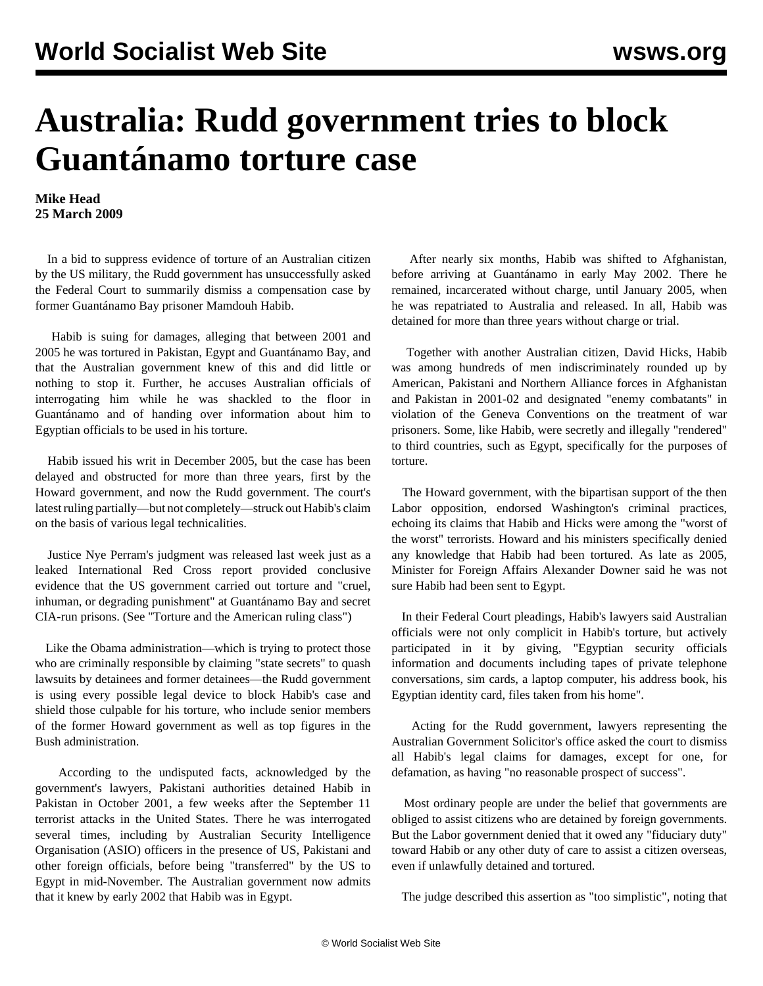## **Australia: Rudd government tries to block Guantánamo torture case**

**Mike Head 25 March 2009**

 In a bid to suppress evidence of torture of an Australian citizen by the US military, the Rudd government has unsuccessfully asked the Federal Court to summarily dismiss a compensation case by former Guantánamo Bay prisoner Mamdouh Habib.

 Habib is suing for damages, alleging that between 2001 and 2005 he was tortured in Pakistan, Egypt and Guantánamo Bay, and that the Australian government knew of this and did little or nothing to stop it. Further, he accuses Australian officials of interrogating him while he was shackled to the floor in Guantánamo and of handing over information about him to Egyptian officials to be used in his torture.

 Habib issued his writ in December 2005, but the case has been delayed and obstructed for more than three years, first by the Howard government, and now the Rudd government. The court's latest ruling partially—but not completely—struck out Habib's claim on the basis of various legal technicalities.

 Justice Nye Perram's judgment was released last week just as a leaked International Red Cross report provided conclusive evidence that the US government carried out torture and "cruel, inhuman, or degrading punishment" at Guantánamo Bay and secret CIA-run prisons. (See ["Torture and the American ruling class"\)](pers-m19.shtml)

 Like the Obama administration—which is trying to protect those who are criminally responsible by claiming "state secrets" to quash lawsuits by detainees and former detainees—the Rudd government is using every possible legal device to block Habib's case and shield those culpable for his torture, who include senior members of the former Howard government as well as top figures in the Bush administration.

 According to the undisputed facts, acknowledged by the government's lawyers, Pakistani authorities detained Habib in Pakistan in October 2001, a few weeks after the September 11 terrorist attacks in the United States. There he was interrogated several times, including by Australian Security Intelligence Organisation (ASIO) officers in the presence of US, Pakistani and other foreign officials, before being "transferred" by the US to Egypt in mid-November. The Australian government now admits that it knew by early 2002 that Habib was in Egypt.

 After nearly six months, Habib was shifted to Afghanistan, before arriving at Guantánamo in early May 2002. There he remained, incarcerated without charge, until January 2005, when he was repatriated to Australia and released. In all, Habib was detained for more than three years without charge or trial.

 Together with another Australian citizen, David Hicks, Habib was among hundreds of men indiscriminately rounded up by American, Pakistani and Northern Alliance forces in Afghanistan and Pakistan in 2001-02 and designated "enemy combatants" in violation of the Geneva Conventions on the treatment of war prisoners. Some, like Habib, were secretly and illegally "rendered" to third countries, such as Egypt, specifically for the purposes of torture.

 The Howard government, with the bipartisan support of the then Labor opposition, endorsed Washington's criminal practices, echoing its claims that Habib and Hicks were among the "worst of the worst" terrorists. Howard and his ministers specifically denied any knowledge that Habib had been tortured. As late as 2005, Minister for Foreign Affairs Alexander Downer said he was not sure Habib had been sent to Egypt.

 In their Federal Court pleadings, Habib's lawyers said Australian officials were not only complicit in Habib's torture, but actively participated in it by giving, "Egyptian security officials information and documents including tapes of private telephone conversations, sim cards, a laptop computer, his address book, his Egyptian identity card, files taken from his home".

 Acting for the Rudd government, lawyers representing the Australian Government Solicitor's office asked the court to dismiss all Habib's legal claims for damages, except for one, for defamation, as having "no reasonable prospect of success".

 Most ordinary people are under the belief that governments are obliged to assist citizens who are detained by foreign governments. But the Labor government denied that it owed any "fiduciary duty" toward Habib or any other duty of care to assist a citizen overseas, even if unlawfully detained and tortured.

The judge described this assertion as "too simplistic", noting that